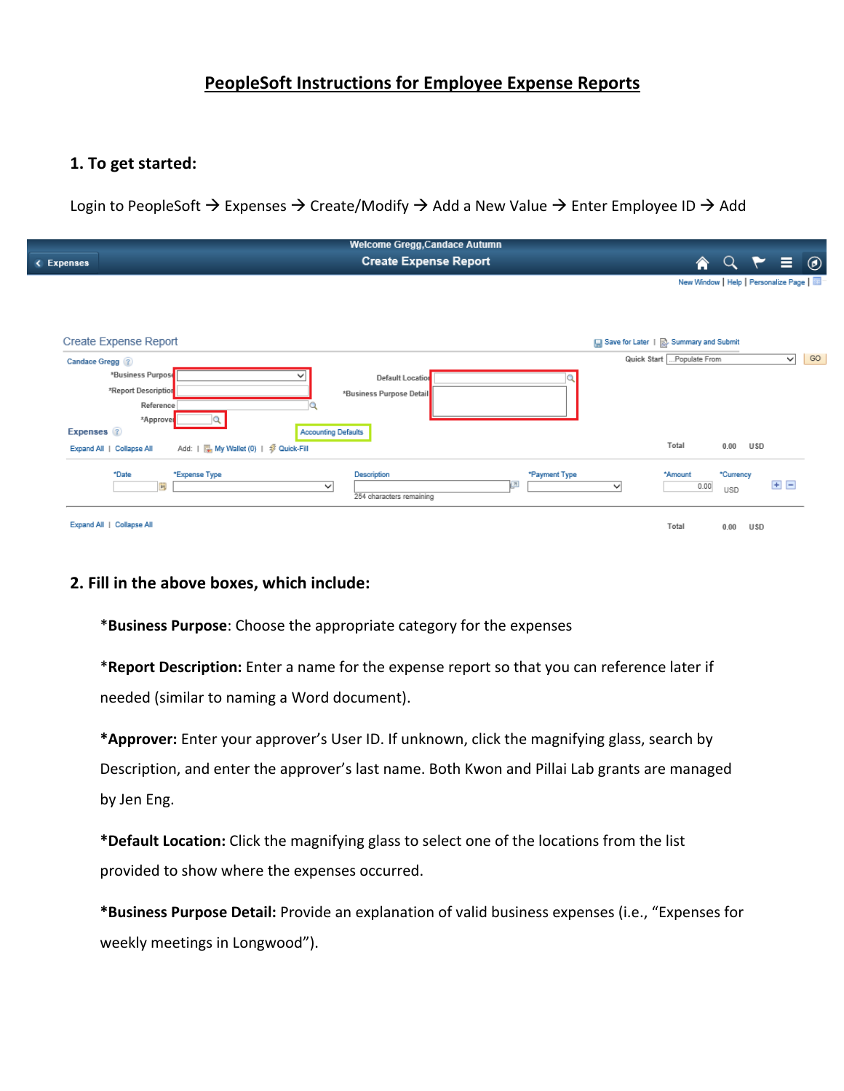# **PeopleSoft Instructions for Employee Expense Reports**

# **1. To get started:**

Login to PeopleSoft  $\rightarrow$  Expenses  $\rightarrow$  Create/Modify  $\rightarrow$  Add a New Value  $\rightarrow$  Enter Employee ID  $\rightarrow$  Add

|                              | <b>Welcome Gregg, Candace Autumn</b>                  |                                          |                                      |                       |      |              |    |
|------------------------------|-------------------------------------------------------|------------------------------------------|--------------------------------------|-----------------------|------|--------------|----|
| < Expenses                   | <b>Create Expense Report</b>                          |                                          | 侖                                    | $Q \uparrow \equiv 0$ |      |              |    |
|                              |                                                       |                                          | New Window   Help   Personalize Page |                       |      |              |    |
|                              |                                                       |                                          |                                      |                       |      |              |    |
| <b>Create Expense Report</b> |                                                       | □ Save for Later   2. Summary and Submit |                                      |                       |      |              |    |
| <b>Candace Gregg</b> ?       |                                                       |                                          | Quick Start  Populate From           |                       |      | $\checkmark$ | GO |
| *Business Purpose            | <b>Default Location</b>                               |                                          |                                      |                       |      |              |    |
| *Report Description          | *Business Purpose Detail                              |                                          |                                      |                       |      |              |    |
| Reference                    |                                                       |                                          |                                      |                       |      |              |    |
| *Approver                    |                                                       |                                          |                                      |                       |      |              |    |
| Expenses ?                   | <b>Accounting Defaults</b>                            |                                          |                                      |                       |      |              |    |
| Expand All   Collapse All    | Add:               My Wallet (0)   \$ Quick-Fill      |                                          | Total                                | 0.00                  | U SD |              |    |
| *Date                        | Description<br>*Expense Type<br>*Payment Type         |                                          | *Amount                              | *Currency             |      |              |    |
| $\overline{1}$               | $\sqrt{2}$<br>$\check{ }$<br>254 characters remaining | $\checkmark$                             | 0.00                                 | USD                   |      | $+$ $-$      |    |
| Expand All   Collapse All    |                                                       |                                          | Total                                | 0.00                  | U SD |              |    |

### **2. Fill in the above boxes, which include:**

\***Business Purpose**: Choose the appropriate category for the expenses

\***Report Description:** Enter a name for the expense report so that you can reference later if needed (similar to naming a Word document).

**\*Approver:** Enter your approver's User ID. If unknown, click the magnifying glass, search by Description, and enter the approver's last name. Both Kwon and Pillai Lab grants are managed by Jen Eng.

**\*Default Location:** Click the magnifying glass to select one of the locations from the list provided to show where the expenses occurred.

**\*Business Purpose Detail:** Provide an explanation of valid business expenses (i.e., "Expenses for weekly meetings in Longwood").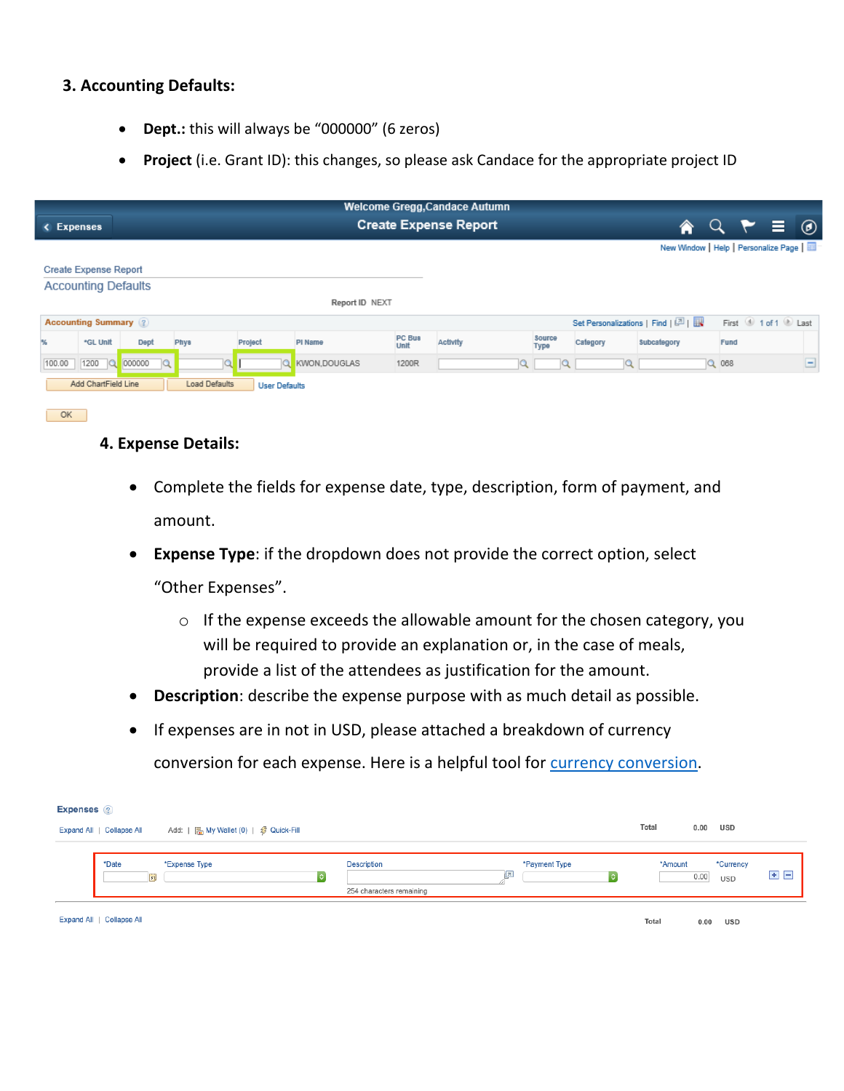# **3. Accounting Defaults:**

- **Dept.:** this will always be "000000" (6 zeros)
- **Project** (i.e. Grant ID): this changes, so please ask Candace for the appropriate project ID

| <b>Create Expense Report</b><br>€<br>< Expenses                                                                                         | $Q \uparrow \equiv 0$ |  |  |  |  |  |  |  |  |
|-----------------------------------------------------------------------------------------------------------------------------------------|-----------------------|--|--|--|--|--|--|--|--|
| New Window   Help   Personalize Page                                                                                                    |                       |  |  |  |  |  |  |  |  |
| <b>Create Expense Report</b>                                                                                                            |                       |  |  |  |  |  |  |  |  |
| <b>Accounting Defaults</b>                                                                                                              |                       |  |  |  |  |  |  |  |  |
| Report ID NEXT                                                                                                                          |                       |  |  |  |  |  |  |  |  |
| 1 of 1 2 Last<br>Set Personalizations   Find   [7]    <br><b>Accounting Summary</b> (?)<br>First                                        |                       |  |  |  |  |  |  |  |  |
| PC Bus<br>Source<br>Activity<br>56<br>*GL Unit<br>Dept<br>Project<br>Category<br>Subcategory<br>Phys<br>PI Name<br>Fund<br>Unit<br>Type |                       |  |  |  |  |  |  |  |  |
| $\alpha$<br><b>Q</b><br>000000<br>$Q$ 068<br>1200<br>Q<br>KWON.DOUGLAS<br>1200R<br>100.00                                               | ▭                     |  |  |  |  |  |  |  |  |
| Add ChartField Line<br>Load Defaults<br><b>User Defaults</b>                                                                            |                       |  |  |  |  |  |  |  |  |

# **4. Expense Details:**

 $\overline{\phantom{a}}$  OK  $\overline{\phantom{a}}$ 

- Complete the fields for expense date, type, description, form of payment, and amount.
- **Expense Type**: if the dropdown does not provide the correct option, select

"Other Expenses".

- o If the expense exceeds the allowable amount for the chosen category, you will be required to provide an explanation or, in the case of meals, provide a list of the attendees as justification for the amount.
- **Description**: describe the expense purpose with as much detail as possible.
- If expenses are in not in USD, please attached a breakdown of currency conversion for each expense. Here is a helpful tool for currency conversion.

| <b>Expenses</b> ?         |                                       |    |                          |               |         |      |            |            |
|---------------------------|---------------------------------------|----|--------------------------|---------------|---------|------|------------|------------|
| Expand All   Collapse All | Add:   R My Wallet (0)   多 Quick-Fill |    |                          |               | Total   | 0.00 | USD        |            |
|                           |                                       |    |                          |               |         |      |            |            |
| *Date                     | *Expense Type                         |    | <b>Description</b>       | *Payment Type | *Amount |      | *Currency  | $H =$      |
|                           |                                       |    |                          |               |         |      |            |            |
| B <sub>1</sub>            |                                       | ∣≎ | 254 characters remaining | ١٥            |         |      | 0.00       | <b>USD</b> |
| Expand All   Collapse All |                                       |    |                          |               | Total   | 0.00 | <b>USD</b> |            |